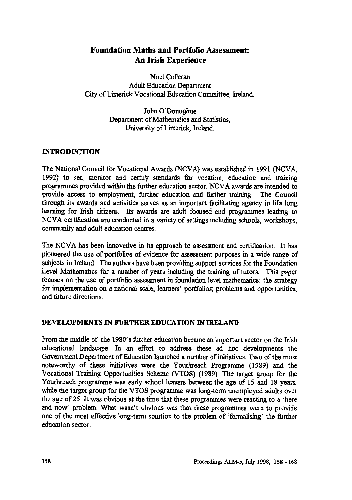# **Foundation Maths and Portfolio Assessment: An Irish Experience**

**Noel Colleran Adult Education Department City of Limerick Vocational Education Committee, Ireland.**

> **John O'Donoghue Department of Mathematics and Statistics, University of Limerick, Ireland.**

## **INTRODUCTION**

**The National Council for Vocational Awards (NCVA) was established in 1991 (NCVA, 1992) to set, monitor and certify standards for vocation, education and training programmes provided within the further education sector. NCVA awards are intended to provide access to employment, further education and further training. The Council through its awards and activities serves as an important facilitating agency in life long learning for Irish citizens. Its awards are adult focused and programmes leading to NCVA certification are conducted in a variety of settings including schools, workshops, community and adult education centres.**

**The NCVA has been innovative in its approach to assessment and certification. It has pioneered the use of portfolios of evidence for assessment purposes in a wide range of subjects in Ireland. The authors have been providing support services for the Foundation Level Mathematics for a number of years including the training of tutors. This paper focuses on the use of portfolio assessment in foundation level mathematics: the strategy for implementation on a national scale; learners' portfolios; problems and opportunities; and future directions.**

## **DEVELOPMENTS IN FURTHER EDUCATION IN IRELAND**

**From the middle of the 1980's further education became an important sector on the Irish educational landscape. In an effort to address these ad hoc developments the Government Department of Education launched a number of initiatives. Two of the most noteworthy of these initiatives were the Youthreach Programme (1989) and the Vocational Training Opportunities Scheme (VTOS) (1989). The target group for the Youthreach programme was early school leavers between the age of 15 and 18 years, while the target group for the VTOS programme was long-term unemployed adults over the age of 25. It was obvious at the time that these programmes were reacting to a 'here and now' problem. What wasn't obvious was that these programmes were to provide one of the most effective long-term solution to the problem of 'formalising' the further education sector.**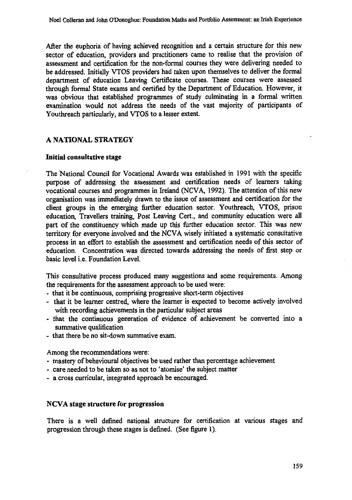After the euphoria of having achieved recognition and a certain structure for this new sector of education, providers and practitioners came to realise that the provision of assessment and certification for the non-formal courses they were delivering needed to be addressed. Initially VTOS providers had taken upon themselves to deliver the formal department of education Leaving Certificate courses. These courses were assessed through formal State exams and certified by the Department of Education. However, it was obvious that established programmes of study culminating in a formal written examination would not address the needs of the vast majority of participants of Youthreach particularly, and VTOS to a lesser extent.

#### **A NATIONAL STRATEGY**

#### **Initial consultative stage**

The National Council for Vocational Awards was established in 1991 with the specific purpose of addressing the assessment and certification needs of learners taking vocational courses and programmes in Ireland (NCVA, 1992). The attention of this new organisation was immediately drawn to the issue of assessment and certification for the client groups in the emerging further education sector. Youthreach, VTOS, prison education, Travellers training, Post Leaving Cert., and community education were all part of the constituency which made up this further education sector. This was new territory for everyone involved and the NCVA wisely initiated a systematic consultative process in an effort to establish the assessment and certification needs of this sector of education. Concentration was directed towards addressing the needs of first step or basic level i.e. Foundation Level.

This consultative process produced many suggestions and some requirements. Among the requirements for the assessment approach to be used were:

- that it be continuous, comprising progressive short-term objectives
- that it be learner centred, where the learner is expected to become actively involved with recording achievements in the particular subject areas
- that the continuous generation of evidence of achievement be converted into a summative qualification
- that there be no sit-down summative exam.

Among the recommendations were:

- mastery of behavioural objectives be used rather than percentage achievement
- care needed to be taken so as not to 'atomise' the subject matter
- a cross curricular, integrated approach be encouraged.

#### **NCVA stage structure for progression**

There is a well defined national structure for certification at various stages and progression through these stages is defined. (See figure 1).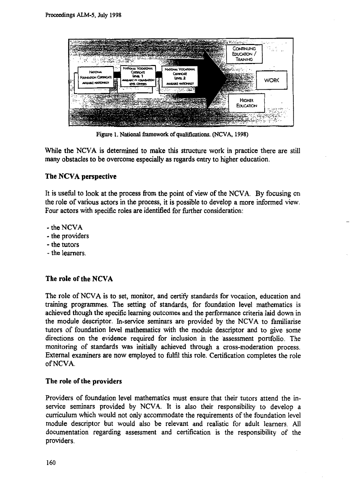

**Figure 1. National framework of qualifications. (NCVA, 1998)**

While the NCVA is determined to make this structure work in practice there are still many obstacles to be overcome especially as regards entry to higher education.

## **The NCVA perspective**

It is useful to look at the process from the point of view of the NCVA. By focusing on the role of various actors in the process, it is possible to develop a more informed view. Four actors with specific roles are identified for further consideration:

- the NCVA
- the providers
- the tutors
- the learners.

## **The role of the NCVA**

The role of NCVA is to set, monitor, and certify standards for vocation, education and training programmes. The setting of standards, for foundation level mathematics is achieved though the specific learning outcomes and the performance criteria laid down in the module descriptor. In-service seminars are provided by the NCVA to familiarise tutors of foundation level mathematics with the module descriptor and to give some directions on the evidence required for inclusion in the assessment portfolio. The monitoring of standards was initially achieved through a cross-moderation process. External examiners are now employed to fulfil this role. Certification completes the role of NCVA.

## **The role of the providers**

Providers of foundation level mathematics must ensure that their tutors attend the inservice seminars provided by NCVA. It is also their responsibility to develop a curriculum which would not only accommodate the requirements of the foundation level module descriptor but would also be relevant and realistic for adult learners. All documentation regarding assessment and certification is the responsibility of the providers.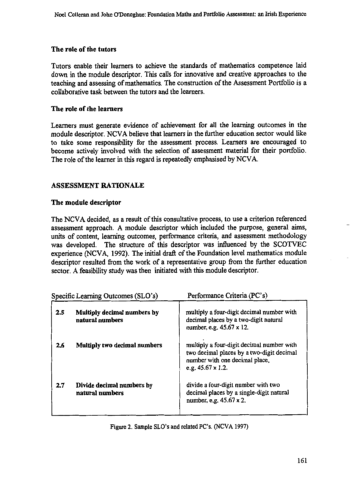### **The role of the tutors**

**Tutors enable their learners to achieve the standards of mathematics competence laid down in the module descriptor. This calls for innovative and creative approaches to the teaching and assessing of mathematics. The construction of the Assessment Portfolio is a collaborative task between the tutors and the learners.**

### **The role of the learners**

**Learners must generate evidence of achievement for all the learning outcomes in the module descriptor. NCVA believe that learners in the further education sector would like to take some responsibility for the assessment process. Learners are encouraged to become actively involved with the selection of assessment material for their portfolio. The role of the learner in this regard is repeatedly emphasised by NCVA.**

## **ASSESSMENT RATIONALE**

#### **The module descriptor**

**The NCVA decided, as a result of this consultative process, to use a criterion referenced assessment approach. A module descriptor which included the purpose, general aims, units of content, learning outcomes, performance criteria, and assessment methodology was developed. The structure of this descriptor was influenced by the SCOTVEC experience (NCVA, 1992). The initial draft of the Foundation level mathematics module descriptor resulted from the work of a representative group from the further education sector. A feasibility study was then initiated with this module descriptor.**

| Specific Learning Outcomes (SLO's) |                                                | Performance Criteria (PC's)                                                                                                                           |  |
|------------------------------------|------------------------------------------------|-------------------------------------------------------------------------------------------------------------------------------------------------------|--|
| 2.5                                | Multiply decimal numbers by<br>natural numbers | multiply a four-digit decimal number with<br>decimal places by a two-digit natural<br>number, e.g. 45.67 x 12.                                        |  |
| 2.6                                | Multiply two decimal numbers                   | multiply a four-digit decimal number with<br>two decimal places by a two-digit decimal<br>number with one decimal place,<br>e.g. $45.67 \times 1.2$ . |  |
| 2.7                                | Divide decimal numbers by<br>natural numbers   | divide a four-digit number with two<br>decimal places by a single-digit natural<br>number, e.g. 45.67 x 2.                                            |  |

Figure 2. Sample SLO's and related PC's. (NCVA 1997)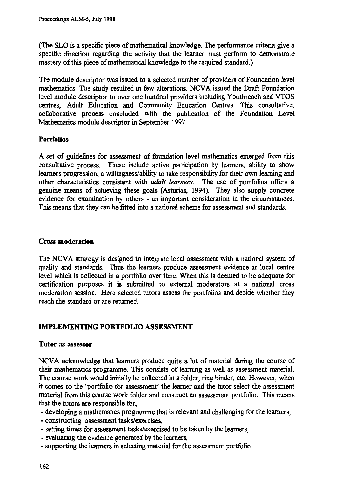**(The SLO is a specific piece of mathematical knowledge. The performance criteria give a specific direction regarding the activity that the learner must perform to demonstrate mastery of this piece of mathematical knowledge to the required standard.)**

**The module descriptor was issued to a selected number of providers of Foundation level mathematics. The study resulted in few alterations. NCVA issued the Draft Foundation level module descriptor to over one hundred providers including Youthreach and VTOS centres, Adult Education and Community Education Centres. This consultative, collaborative process concluded with the publication of the Foundation Level Mathematics module descriptor in September 1997.**

## **Portfolios**

**A set of guidelines for assessment of foundation level mathematics emerged from this consultative process. These include active participation by learners, ability to show learners progression, a willingness/ability to take responsibility for their own learning and other characteristics consistent with** *adult learners.* **The use of portfolios offers a genuine means of achieving these goals (Asturias, 1994). They also supply concrete evidence for examination by others - an important consideration in the circumstances. This means that they can be fitted into a national scheme for assessment and standards.**

## **Cross moderation**

**The NCVA strategy is designed to integrate local assessment with a national system of quality and standards. Thus the learners produce assessment evidence at local centre level which is collected in a portfolio over time. When this is deemed to be adequate for certification purposes it is submitted to external moderators at a national cross moderation session. Here selected tutors assess the portfolios and decide whether they reach the standard or are returned.**

## **IMPLEMENTING PORTFOLIO ASSESSMENT**

## **Tutor as assessor**

**NCVA acknowledge that learners produce quite a lot of material during the course of their mathematics programme. This consists of learning as well as assessment material. The course work would initially be collected in a folder, ring binder, etc. However, when it comes to the 'portfolio for assessment' the learner and the tutor select the assessment material from this course work folder and construct an assessment portfolio. This means that the tutors are responsible for;**

**- developing a mathematics programme that is relevant and challenging for the learners,**

- **- constructing assessment tasks/exercises,**
- **- setting times for assessment tasks/exercised to be taken by the learners,**
- **evaluating the evidence generated by the learners,**
- **- supporting the learners in selecting material for the assessment portfolio.**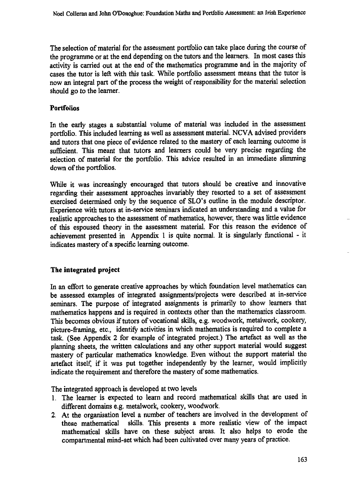**The selection of material for the assessment portfolio can take place during the course of the programme or at the end depending on the tutors and the learners. In most cases this activity is carried out at the end of the mathematics programme and in the majority of cases the tutor is left with this task. While portfolio assessment means that the tutor is now an integral part of the process the weight of responsibility for the material selection should go to the learner.**

## **Portfolios**

**In the early stages a substantial volume of material was included in the assessment portfolio. This included learning as well as assessment material. NCVA advised providers and tutors that one piece of evidence related to the mastery of each learning outcome is sufficient. This meant that tutors and learners could be very precise regarding the selection of material for the portfolio. This advice resulted in an immediate slimming down of the portfolios.**

**While it was increasingly encouraged that tutors should be creative and innovative regarding their assessment approaches invariably they resorted to a set of assessment exercised determined only by the sequence of SLO's outline in the module descriptor. Experience with tutors at in-service seminars indicated an understanding and a value for realistic approaches to the assessment of mathematics, however, there was little evidence of this espoused theory in the assessment material. For this reason the evidence of achievement presented in Appendix 1 is quite normal. It is singularly functional - it indicates mastery of a specific learning outcome.**

## **The integrated project**

**In an effort to generate creative approaches by which foundation level mathematics can be assessed examples of integrated assignments/projects were described at in-service seminars. The purpose of integrated assignments is primarily to show learners that mathematics happens and is required in contexts other than the mathematics classroom. This becomes obvious if tutors of vocational skills, e.g. woodwork, metalwork, cookery, picture-framing, etc., identify activities in which mathematics is required to complete a task. (See Appendix 2 for example of integrated project.) The artefact as well as the planning sheets, the written calculations and any other support material would suggest mastery of particular mathematics knowledge. Even without the support material the artefact itself, if it was put together independently by the learner, would implicitly indicate the requirement and therefore the mastery of some mathematics.**

**The integrated approach is developed at two levels**

- **1. The learner is expected to learn and record mathematical skills that are used in different domains e.g. metalwork, cookery, woodwork.**
- **2. At the organisation level a number of teachers are involved in the development of these mathematical skills. This presents a more realistic view of the impact mathematical skills have on these subject areas. It also helps to erode the compartmental mind-set which had been cultivated over many years of practice.**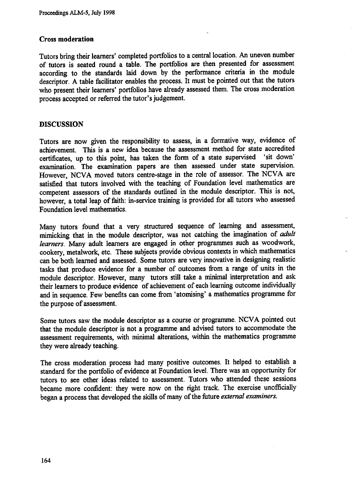#### **Cross moderation**

**Tutors bring their learners' completed portfolios to a central location. An uneven number of tutors is seated round a table. The portfolios are then presented for assessment according to the standards laid down by the performance criteria in the module descriptor. A table facilitator enables the process. It must be pointed out that the tutors who present their learners' portfolios have already assessed them. The cross moderation process accepted or referred the tutor's judgement.**

#### **DISCUSSION**

**Tutors are now given the responsibility to assess, in a formative way, evidence of achievement. This is a new idea because the assessment method for state accredited certificates, up to this point, has taken the form of a state supervised `sit down' examination. The examination papers are then assessed under state supervision. However, NCVA moved tutors centre-stage in the role of assessor. The NCVA are satisfied that tutors involved with the teaching of Foundation level mathematics are competent assessors of the standards outlined in the module descriptor. This is not, however, a total leap of faith: in-service training is provided for all tutors who assessed Foundation level mathematics.**

**Many tutors found that a very structured sequence of learning and assessment, mimicking that in the module descriptor, was not catching the imagination of** *adult learners.* **Many adult learners are engaged in other programmes such as woodwork, cookery, metalwork, etc. These subjects provide obvious contexts in which mathematics can be both learned and assessed. Some tutors are very innovative in designing realistic tasks that produce evidence for a number of outcomes from a range of units in the module descriptor. However, many tutors still take a minimal interpretation and ask their learners to produce evidence of achievement of each learning outcome individually and in sequence. Few benefits can come from 'atomising' a mathematics programme for the purpose of assessment.**

**Some tutors saw the module descriptor as a course or programme. NCVA pointed out that the module descriptor is not a programme and advised tutors to accommodate the assessment requirements, with minimal alterations, within the mathematics programme they were already teaching.**

**The cross moderation process had many positive outcomes. It helped to establish a standard for the portfolio of evidence at Foundation level. There was an opportunity for tutors to see other ideas related to assessment. Tutors who attended these sessions became more confident: they were now on the right track. The exercise unofficially began a process that developed the skills of many of the future** *external examiners.*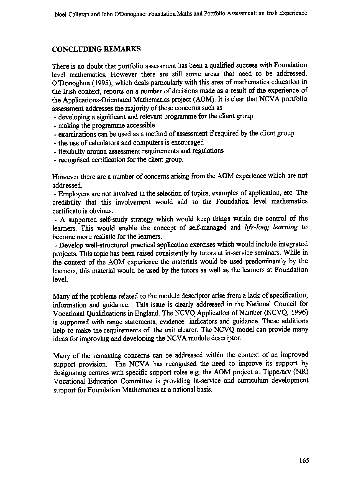## **CONCLUDING REMARKS**

**There is no doubt that portfolio assessment has been a qualified success with Foundation level mathematics. However there are still some areas that need to be addressed. O'Donoghue (1995), which deals particularly with this area of mathematics education in the Irish context, reports on a number of decisions made as a result of the experience of the Applications-Orientated Mathematics project (AOM). It is clear that NCVA portfolio assessment addresses the majority of these concerns such as**

- **developing a significant and relevant programme for the client group**
- **making the programme accessible**
- **examinations can be used as a method of assessment if required by the client group**
- **the use of calculators and computers is encouraged**
- **flexibility around assessment requirements and regulations**
- **recognised certification for the client group.**

**However there are a number of concerns arising from the AOM experience which are not addressed.**

**- Employers are not involved in the selection of topics, examples of application, etc. The credibility that this involvement would add to the Foundation level mathematics certificate is obvious.**

**- A supported self-study strategy which would keep things within the control of the learners. This would enable the concept of self-managed and** *life-long learning* **to become more realistic for the learners.**

**- Develop well-structured practical application exercises which would include integrated projects. This topic has been raised consistently by tutors at in-service seminars. While in the context of the AOM experience the materials would be used predominantly by the learners, this material would be used by the tutors as well as the learners at Foundation level.**

**Many of the problems related to the module descriptor arise from a lack of specification, information and guidance. This issue is clearly addressed in the National Council for Vocational Qualifications in England. The NCVQ Application of Number (NCVQ, 1996) is supported with range statements, evidence indicators and guidance. These additions help to make the requirements of the unit clearer. The NCVQ model can provide many ideas for improving and developing the NCVA module descriptor.**

**Many of the remaining concerns can be addressed within the context of an improved support provision. The NCVA has recognised the need to improve its support by designating centres with specific support roles e.g. the AOM project at Tipperary (NR) Vocational Education Committee is providing in-service and curriculum development support for Foundation Mathematics at a national basis.**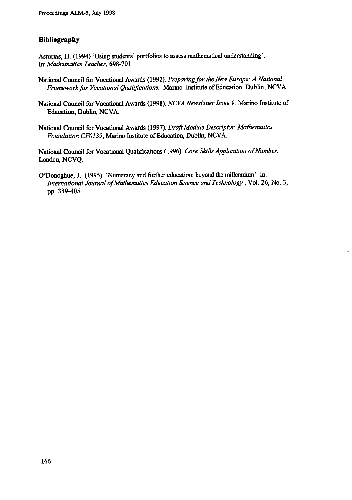# **Bibliography**

**Asturias, H. (1994) 'Using students' portfolios to assess mathematical understanding'. In:** *Mathematics Teacher,* **698-701.**

- **National Council for Vocational Awards (1992).** *Preparing for the New Europe: A National Framework for Vocational Qualifications.* **Marino Institute of Education, Dublin, NCVA.**
- **National Council for Vocational Awards (1998).** *NCVA Newsletter Issue 9,* **Marino Institute of Education, Dublin, NCVA.**
- **National Council for Vocational Awards (1997).** *Draft Module Descriptor, Mathematics Foundation CF0139,* **Marino Institute of Education, Dublin, NCVA.**

**National Council for Vocational Qualifications (1996).** *Core Skills Application of Number.* **London, NCVQ.**

**O'Donoghue, J. (1995). 'Numeracy and further education: beyond the millennium' in:** *International Journal ofMathematics Education Science and Technology.,* **Vol. 26, No. 3, pp. 389-405**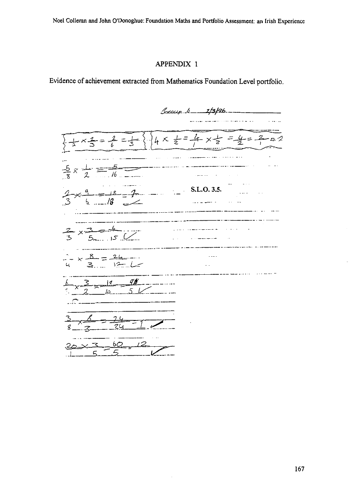Noel Colleran and John O'Donoghue: Foundation Maths and Portfolio Assessment: an Irish Experience

### APPENDIX I

Evidence of achievement extracted from Mathematics Foundation Level portfolio.

S\_""r  *r/3/g6*  $4x = 4x = 22$  $\frac{1}{2} \times \frac{2}{3} = \frac{2}{6} = \frac{1}{3}$  $\frac{5}{\cancel{16}}$  $\frac{15}{1}$  $x \frac{1}{2} =$ . Here are  $\hat{\mathcal{O}}$  $18 - 7 -$  S.L.O. 3.5.  $18$ 6. . . . . بالمساعات  $\sim$   $\sim$   $\sim$  $-$  -  $\overline{\phantom{a}}$  $3 - 4$ <br> $5 - 15$ a di construcción el construcción el construcción el construcción el construcción el construcción el construcción el construcción el construcción el construcción el construcción el construcción el construcción el construcc  $x - 3$  $\sqrt{2}$  $\sim$   $\sim$   $\sim$   $\sim$   $\sim$ . . . . . . . . .  $8 - 24$  $\ddotsc$  $12 - 12$ <u>ર</u>……  $\sim$  $x - \frac{3}{2} - \frac{19}{10} - \frac{9}{5}$ \_\_\_\_\_\_\_\_\_\_\_\_\_\_\_\_\_\_\_\_\_\_\_\_ . . . . . . . . . . g *\_ g* 24 bО C

167